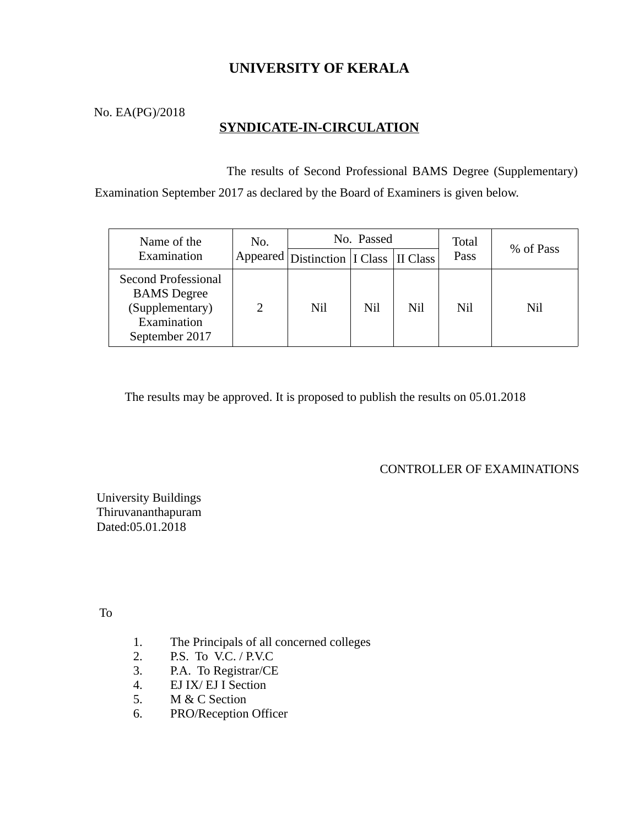# **UNIVERSITY OF KERALA**

No. EA(PG)/2018

## **SYNDICATE-IN-CIRCULATION**

 The results of Second Professional BAMS Degree (Supplementary) Examination September 2017 as declared by the Board of Examiners is given below.

| Name of the<br>Examination                                                                    | No. | No. Passed                                            |     |     | Total | % of Pass |
|-----------------------------------------------------------------------------------------------|-----|-------------------------------------------------------|-----|-----|-------|-----------|
|                                                                                               |     | Appeared Distinction   I Class   II Class $^{\prime}$ |     |     | Pass  |           |
| Second Professional<br><b>BAMS</b> Degree<br>(Supplementary)<br>Examination<br>September 2017 |     | Nil                                                   | Nil | Nil | Nil   | Nil       |

The results may be approved. It is proposed to publish the results on 05.01.2018

CONTROLLER OF EXAMINATIONS

University Buildings Thiruvananthapuram Dated:05.01.2018

To

- 1. The Principals of all concerned colleges
- 2. P.S. To V.C. / P.V.C
- 3. P.A. To Registrar/CE
- 4. EJ IX/ EJ I Section
- 5. M & C Section
- 6. PRO/Reception Officer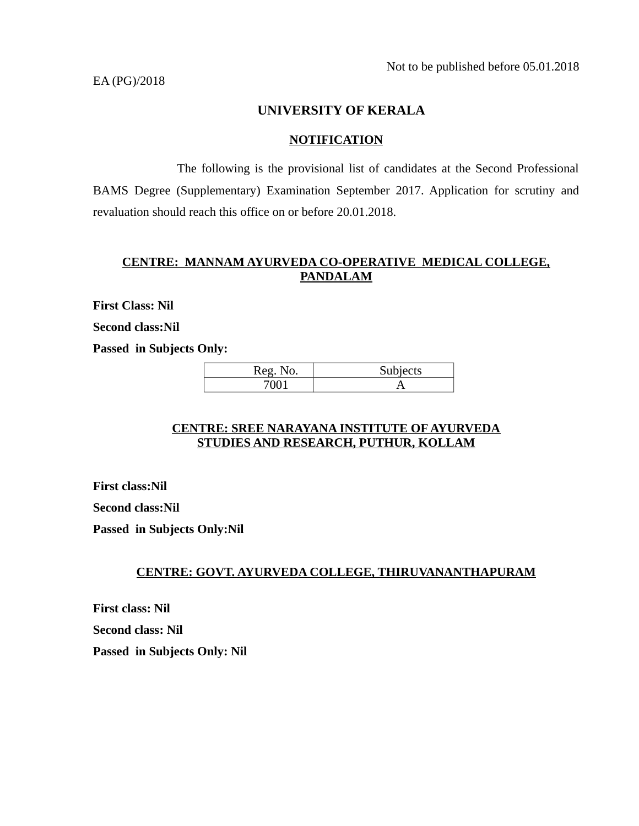EA (PG)/2018

## **UNIVERSITY OF KERALA**

#### **NOTIFICATION**

 The following is the provisional list of candidates at the Second Professional BAMS Degree (Supplementary) Examination September 2017. Application for scrutiny and revaluation should reach this office on or before 20.01.2018.

#### **CENTRE: MANNAM AYURVEDA CO-OPERATIVE MEDICAL COLLEGE, PANDALAM**

**First Class: Nil**

**Second class:Nil**

**Passed in Subjects Only:** 

| <b>Reg</b><br>INO. | Subjects |  |  |
|--------------------|----------|--|--|
|                    |          |  |  |

#### **CENTRE: SREE NARAYANA INSTITUTE OF AYURVEDA STUDIES AND RESEARCH, PUTHUR, KOLLAM**

**First class:Nil Second class:Nil Passed in Subjects Only:Nil**

## **CENTRE: GOVT. AYURVEDA COLLEGE, THIRUVANANTHAPURAM**

**First class: Nil Second class: Nil Passed in Subjects Only: Nil**